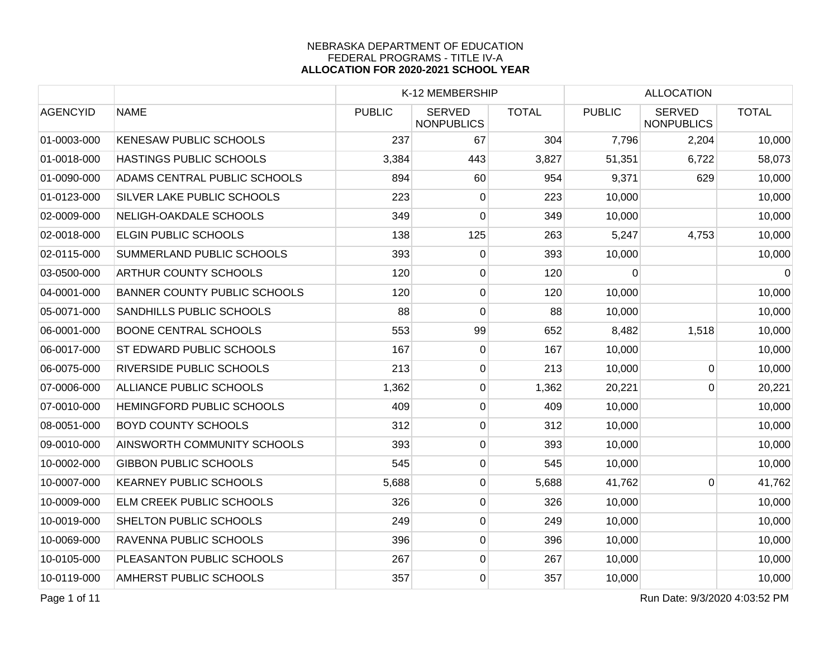|                 |                                     |               | K-12 MEMBERSHIP                    |              |               | <b>ALLOCATION</b>                  |              |  |
|-----------------|-------------------------------------|---------------|------------------------------------|--------------|---------------|------------------------------------|--------------|--|
| <b>AGENCYID</b> | <b>NAME</b>                         | <b>PUBLIC</b> | <b>SERVED</b><br><b>NONPUBLICS</b> | <b>TOTAL</b> | <b>PUBLIC</b> | <b>SERVED</b><br><b>NONPUBLICS</b> | <b>TOTAL</b> |  |
| 01-0003-000     | <b>KENESAW PUBLIC SCHOOLS</b>       | 237           | 67                                 | 304          | 7,796         | 2,204                              | 10,000       |  |
| 01-0018-000     | HASTINGS PUBLIC SCHOOLS             | 3,384         | 443                                | 3,827        | 51,351        | 6,722                              | 58,073       |  |
| 01-0090-000     | ADAMS CENTRAL PUBLIC SCHOOLS        | 894           | 60                                 | 954          | 9,371         | 629                                | 10,000       |  |
| 01-0123-000     | <b>SILVER LAKE PUBLIC SCHOOLS</b>   | 223           | 0                                  | 223          | 10,000        |                                    | 10,000       |  |
| 02-0009-000     | NELIGH-OAKDALE SCHOOLS              | 349           | 0                                  | 349          | 10,000        |                                    | 10,000       |  |
| 02-0018-000     | <b>ELGIN PUBLIC SCHOOLS</b>         | 138           | 125                                | 263          | 5,247         | 4,753                              | 10,000       |  |
| 02-0115-000     | <b>SUMMERLAND PUBLIC SCHOOLS</b>    | 393           | $\overline{0}$                     | 393          | 10,000        |                                    | 10,000       |  |
| 03-0500-000     | <b>ARTHUR COUNTY SCHOOLS</b>        | 120           | $\overline{0}$                     | 120          | 0             |                                    | 0            |  |
| 04-0001-000     | <b>BANNER COUNTY PUBLIC SCHOOLS</b> | 120           | 0                                  | 120          | 10,000        |                                    | 10,000       |  |
| 05-0071-000     | <b>SANDHILLS PUBLIC SCHOOLS</b>     | 88            | 0                                  | 88           | 10,000        |                                    | 10,000       |  |
| 06-0001-000     | <b>BOONE CENTRAL SCHOOLS</b>        | 553           | 99                                 | 652          | 8,482         | 1,518                              | 10,000       |  |
| 06-0017-000     | <b>ST EDWARD PUBLIC SCHOOLS</b>     | 167           | $\overline{0}$                     | 167          | 10,000        |                                    | 10,000       |  |
| 06-0075-000     | <b>RIVERSIDE PUBLIC SCHOOLS</b>     | 213           | $\overline{0}$                     | 213          | 10,000        | $\mathbf 0$                        | 10,000       |  |
| 07-0006-000     | ALLIANCE PUBLIC SCHOOLS             | 1,362         | $\overline{0}$                     | 1,362        | 20,221        | $\Omega$                           | 20,221       |  |
| 07-0010-000     | HEMINGFORD PUBLIC SCHOOLS           | 409           | $\overline{0}$                     | 409          | 10,000        |                                    | 10,000       |  |
| 08-0051-000     | <b>BOYD COUNTY SCHOOLS</b>          | 312           | $\mathbf 0$                        | 312          | 10,000        |                                    | 10,000       |  |
| 09-0010-000     | AINSWORTH COMMUNITY SCHOOLS         | 393           | $\overline{0}$                     | 393          | 10,000        |                                    | 10,000       |  |
| 10-0002-000     | <b>GIBBON PUBLIC SCHOOLS</b>        | 545           | $\overline{0}$                     | 545          | 10,000        |                                    | 10,000       |  |
| 10-0007-000     | <b>KEARNEY PUBLIC SCHOOLS</b>       | 5,688         | $\overline{0}$                     | 5,688        | 41,762        | 0                                  | 41,762       |  |
| 10-0009-000     | <b>ELM CREEK PUBLIC SCHOOLS</b>     | 326           | $\overline{0}$                     | 326          | 10,000        |                                    | 10,000       |  |
| 10-0019-000     | SHELTON PUBLIC SCHOOLS              | 249           | $\overline{0}$                     | 249          | 10,000        |                                    | 10,000       |  |
| 10-0069-000     | RAVENNA PUBLIC SCHOOLS              | 396           | 0                                  | 396          | 10,000        |                                    | 10,000       |  |
| 10-0105-000     | PLEASANTON PUBLIC SCHOOLS           | 267           | $\overline{0}$                     | 267          | 10,000        |                                    | 10,000       |  |
| 10-0119-000     | <b>AMHERST PUBLIC SCHOOLS</b>       | 357           | $\overline{0}$                     | 357          | 10,000        |                                    | 10,000       |  |

Page 1 of 11 Run Date: 9/3/2020 4:03:52 PM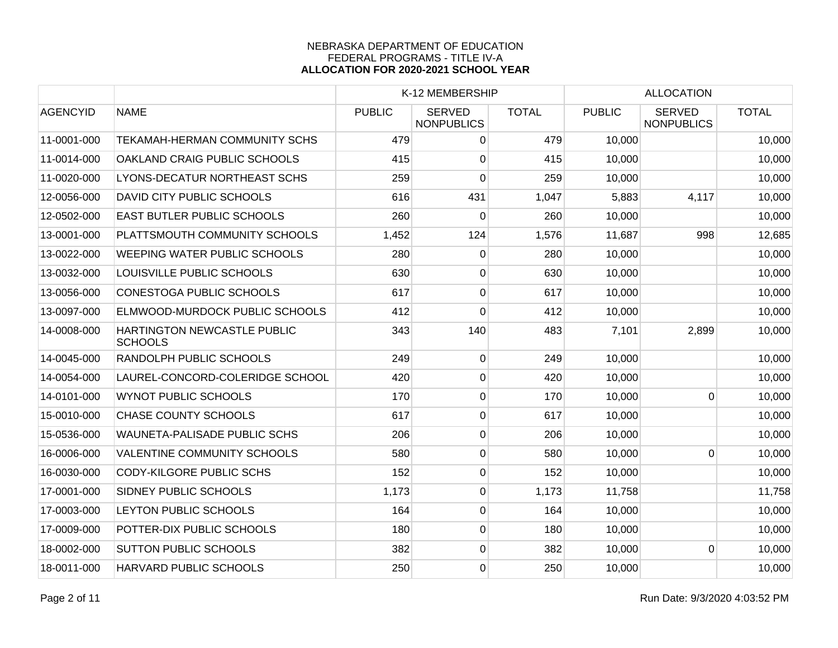|                 |                                               |               | K-12 MEMBERSHIP                    |              |               | <b>ALLOCATION</b>                  |              |  |
|-----------------|-----------------------------------------------|---------------|------------------------------------|--------------|---------------|------------------------------------|--------------|--|
| <b>AGENCYID</b> | <b>NAME</b>                                   | <b>PUBLIC</b> | <b>SERVED</b><br><b>NONPUBLICS</b> | <b>TOTAL</b> | <b>PUBLIC</b> | <b>SERVED</b><br><b>NONPUBLICS</b> | <b>TOTAL</b> |  |
| 11-0001-000     | TEKAMAH-HERMAN COMMUNITY SCHS                 | 479           | 0                                  | 479          | 10,000        |                                    | 10,000       |  |
| 11-0014-000     | OAKLAND CRAIG PUBLIC SCHOOLS                  | 415           | 0                                  | 415          | 10,000        |                                    | 10,000       |  |
| 11-0020-000     | LYONS-DECATUR NORTHEAST SCHS                  | 259           | 0                                  | 259          | 10,000        |                                    | 10,000       |  |
| 12-0056-000     | DAVID CITY PUBLIC SCHOOLS                     | 616           | 431                                | 1,047        | 5,883         | 4,117                              | 10,000       |  |
| 12-0502-000     | <b>EAST BUTLER PUBLIC SCHOOLS</b>             | 260           | $\overline{0}$                     | 260          | 10,000        |                                    | 10,000       |  |
| 13-0001-000     | PLATTSMOUTH COMMUNITY SCHOOLS                 | 1,452         | 124                                | 1,576        | 11,687        | 998                                | 12,685       |  |
| 13-0022-000     | WEEPING WATER PUBLIC SCHOOLS                  | 280           | 0                                  | 280          | 10,000        |                                    | 10,000       |  |
| 13-0032-000     | LOUISVILLE PUBLIC SCHOOLS                     | 630           | 0                                  | 630          | 10,000        |                                    | 10,000       |  |
| 13-0056-000     | <b>CONESTOGA PUBLIC SCHOOLS</b>               | 617           | $\overline{0}$                     | 617          | 10,000        |                                    | 10,000       |  |
| 13-0097-000     | ELMWOOD-MURDOCK PUBLIC SCHOOLS                | 412           | 0                                  | 412          | 10,000        |                                    | 10,000       |  |
| 14-0008-000     | HARTINGTON NEWCASTLE PUBLIC<br><b>SCHOOLS</b> | 343           | 140                                | 483          | 7,101         | 2,899                              | 10,000       |  |
| 14-0045-000     | RANDOLPH PUBLIC SCHOOLS                       | 249           | 0                                  | 249          | 10,000        |                                    | 10,000       |  |
| 14-0054-000     | LAUREL-CONCORD-COLERIDGE SCHOOL               | 420           | 0                                  | 420          | 10,000        |                                    | 10,000       |  |
| 14-0101-000     | <b>WYNOT PUBLIC SCHOOLS</b>                   | 170           | 0                                  | 170          | 10,000        | $\Omega$                           | 10,000       |  |
| 15-0010-000     | <b>CHASE COUNTY SCHOOLS</b>                   | 617           | 0                                  | 617          | 10,000        |                                    | 10,000       |  |
| 15-0536-000     | WAUNETA-PALISADE PUBLIC SCHS                  | 206           | $\overline{0}$                     | 206          | 10,000        |                                    | 10,000       |  |
| 16-0006-000     | <b>VALENTINE COMMUNITY SCHOOLS</b>            | 580           | $\mathbf 0$                        | 580          | 10,000        | $\Omega$                           | 10,000       |  |
| 16-0030-000     | <b>CODY-KILGORE PUBLIC SCHS</b>               | 152           | 0                                  | 152          | 10,000        |                                    | 10,000       |  |
| 17-0001-000     | <b>SIDNEY PUBLIC SCHOOLS</b>                  | 1,173         | 0                                  | 1,173        | 11,758        |                                    | 11,758       |  |
| 17-0003-000     | LEYTON PUBLIC SCHOOLS                         | 164           | 0                                  | 164          | 10,000        |                                    | 10,000       |  |
| 17-0009-000     | POTTER-DIX PUBLIC SCHOOLS                     | 180           | 0                                  | 180          | 10,000        |                                    | 10,000       |  |
| 18-0002-000     | <b>SUTTON PUBLIC SCHOOLS</b>                  | 382           | $\mathbf 0$                        | 382          | 10,000        | $\Omega$                           | 10,000       |  |
| 18-0011-000     | HARVARD PUBLIC SCHOOLS                        | 250           | 0                                  | 250          | 10,000        |                                    | 10,000       |  |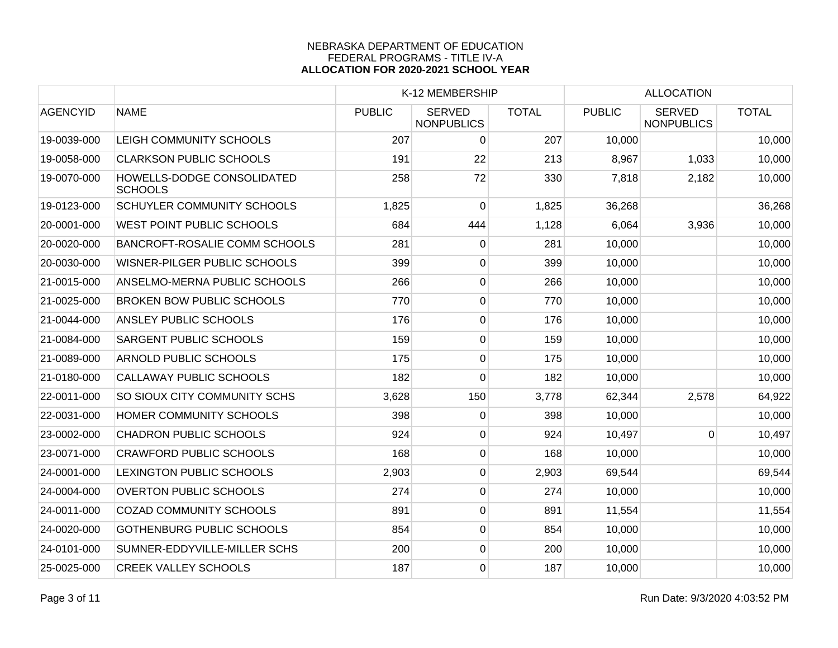|                 |                                              | K-12 MEMBERSHIP |                                    |              | <b>ALLOCATION</b> |                                    |              |
|-----------------|----------------------------------------------|-----------------|------------------------------------|--------------|-------------------|------------------------------------|--------------|
| <b>AGENCYID</b> | <b>NAME</b>                                  | <b>PUBLIC</b>   | <b>SERVED</b><br><b>NONPUBLICS</b> | <b>TOTAL</b> | <b>PUBLIC</b>     | <b>SERVED</b><br><b>NONPUBLICS</b> | <b>TOTAL</b> |
| 19-0039-000     | LEIGH COMMUNITY SCHOOLS                      | 207             | 0                                  | 207          | 10,000            |                                    | 10,000       |
| 19-0058-000     | <b>CLARKSON PUBLIC SCHOOLS</b>               | 191             | 22                                 | 213          | 8,967             | 1,033                              | 10,000       |
| 19-0070-000     | HOWELLS-DODGE CONSOLIDATED<br><b>SCHOOLS</b> | 258             | 72                                 | 330          | 7,818             | 2,182                              | 10,000       |
| 19-0123-000     | <b>SCHUYLER COMMUNITY SCHOOLS</b>            | 1,825           | 0                                  | 1,825        | 36,268            |                                    | 36,268       |
| 20-0001-000     | WEST POINT PUBLIC SCHOOLS                    | 684             | 444                                | 1,128        | 6,064             | 3,936                              | 10,000       |
| 20-0020-000     | <b>BANCROFT-ROSALIE COMM SCHOOLS</b>         | 281             | 0                                  | 281          | 10,000            |                                    | 10,000       |
| 20-0030-000     | WISNER-PILGER PUBLIC SCHOOLS                 | 399             | $\overline{0}$                     | 399          | 10,000            |                                    | 10,000       |
| 21-0015-000     | ANSELMO-MERNA PUBLIC SCHOOLS                 | 266             | $\pmb{0}$                          | 266          | 10,000            |                                    | 10,000       |
| 21-0025-000     | <b>BROKEN BOW PUBLIC SCHOOLS</b>             | 770             | $\boldsymbol{0}$                   | 770          | 10,000            |                                    | 10,000       |
| 21-0044-000     | <b>ANSLEY PUBLIC SCHOOLS</b>                 | 176             | $\overline{0}$                     | 176          | 10,000            |                                    | 10,000       |
| 21-0084-000     | <b>SARGENT PUBLIC SCHOOLS</b>                | 159             | 0                                  | 159          | 10,000            |                                    | 10,000       |
| 21-0089-000     | <b>ARNOLD PUBLIC SCHOOLS</b>                 | 175             | 0                                  | 175          | 10,000            |                                    | 10,000       |
| 21-0180-000     | <b>CALLAWAY PUBLIC SCHOOLS</b>               | 182             | 0                                  | 182          | 10,000            |                                    | 10,000       |
| 22-0011-000     | SO SIOUX CITY COMMUNITY SCHS                 | 3,628           | 150                                | 3,778        | 62,344            | 2,578                              | 64,922       |
| 22-0031-000     | HOMER COMMUNITY SCHOOLS                      | 398             | 0                                  | 398          | 10,000            |                                    | 10,000       |
| 23-0002-000     | <b>CHADRON PUBLIC SCHOOLS</b>                | 924             | $\overline{0}$                     | 924          | 10,497            | $\mathbf 0$                        | 10,497       |
| 23-0071-000     | <b>CRAWFORD PUBLIC SCHOOLS</b>               | 168             | $\overline{0}$                     | 168          | 10,000            |                                    | 10,000       |
| 24-0001-000     | <b>LEXINGTON PUBLIC SCHOOLS</b>              | 2,903           | $\pmb{0}$                          | 2,903        | 69,544            |                                    | 69,544       |
| 24-0004-000     | <b>OVERTON PUBLIC SCHOOLS</b>                | 274             | $\overline{0}$                     | 274          | 10,000            |                                    | 10,000       |
| 24-0011-000     | <b>COZAD COMMUNITY SCHOOLS</b>               | 891             | 0                                  | 891          | 11,554            |                                    | 11,554       |
| 24-0020-000     | <b>GOTHENBURG PUBLIC SCHOOLS</b>             | 854             | $\overline{0}$                     | 854          | 10,000            |                                    | 10,000       |
| 24-0101-000     | SUMNER-EDDYVILLE-MILLER SCHS                 | 200             | $\overline{0}$                     | 200          | 10,000            |                                    | 10,000       |
| 25-0025-000     | <b>CREEK VALLEY SCHOOLS</b>                  | 187             | 0                                  | 187          | 10,000            |                                    | 10,000       |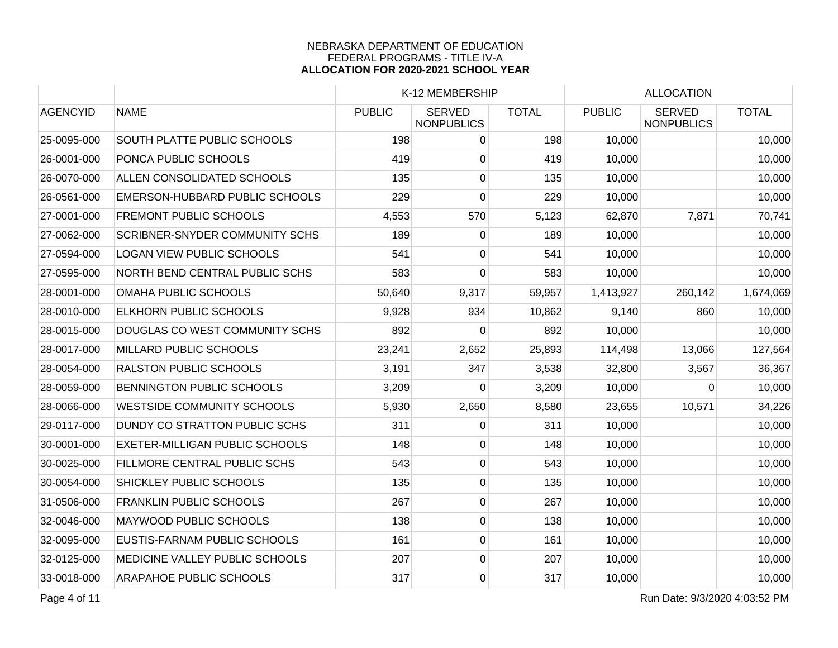|                 |                                       |               | K-12 MEMBERSHIP                    |              |               | <b>ALLOCATION</b>                  |              |  |
|-----------------|---------------------------------------|---------------|------------------------------------|--------------|---------------|------------------------------------|--------------|--|
| <b>AGENCYID</b> | <b>NAME</b>                           | <b>PUBLIC</b> | <b>SERVED</b><br><b>NONPUBLICS</b> | <b>TOTAL</b> | <b>PUBLIC</b> | <b>SERVED</b><br><b>NONPUBLICS</b> | <b>TOTAL</b> |  |
| 25-0095-000     | <b>SOUTH PLATTE PUBLIC SCHOOLS</b>    | 198           | 0                                  | 198          | 10,000        |                                    | 10,000       |  |
| 26-0001-000     | PONCA PUBLIC SCHOOLS                  | 419           | 0                                  | 419          | 10,000        |                                    | 10,000       |  |
| 26-0070-000     | ALLEN CONSOLIDATED SCHOOLS            | 135           | 0                                  | 135          | 10,000        |                                    | 10,000       |  |
| 26-0561-000     | EMERSON-HUBBARD PUBLIC SCHOOLS        | 229           | 0                                  | 229          | 10,000        |                                    | 10,000       |  |
| 27-0001-000     | <b>FREMONT PUBLIC SCHOOLS</b>         | 4,553         | 570                                | 5,123        | 62,870        | 7,871                              | 70,741       |  |
| 27-0062-000     | SCRIBNER-SNYDER COMMUNITY SCHS        | 189           | 0                                  | 189          | 10,000        |                                    | 10,000       |  |
| 27-0594-000     | <b>LOGAN VIEW PUBLIC SCHOOLS</b>      | 541           | 0                                  | 541          | 10,000        |                                    | 10,000       |  |
| 27-0595-000     | NORTH BEND CENTRAL PUBLIC SCHS        | 583           | 0                                  | 583          | 10,000        |                                    | 10,000       |  |
| 28-0001-000     | OMAHA PUBLIC SCHOOLS                  | 50,640        | 9,317                              | 59,957       | 1,413,927     | 260,142                            | 1,674,069    |  |
| 28-0010-000     | <b>ELKHORN PUBLIC SCHOOLS</b>         | 9,928         | 934                                | 10,862       | 9,140         | 860                                | 10,000       |  |
| 28-0015-000     | DOUGLAS CO WEST COMMUNITY SCHS        | 892           | 0                                  | 892          | 10,000        |                                    | 10,000       |  |
| 28-0017-000     | MILLARD PUBLIC SCHOOLS                | 23,241        | 2,652                              | 25,893       | 114,498       | 13,066                             | 127,564      |  |
| 28-0054-000     | <b>RALSTON PUBLIC SCHOOLS</b>         | 3,191         | 347                                | 3,538        | 32,800        | 3,567                              | 36,367       |  |
| 28-0059-000     | <b>BENNINGTON PUBLIC SCHOOLS</b>      | 3,209         | 0                                  | 3,209        | 10,000        | $\Omega$                           | 10,000       |  |
| 28-0066-000     | WESTSIDE COMMUNITY SCHOOLS            | 5,930         | 2,650                              | 8,580        | 23,655        | 10,571                             | 34,226       |  |
| 29-0117-000     | DUNDY CO STRATTON PUBLIC SCHS         | 311           | 0                                  | 311          | 10,000        |                                    | 10,000       |  |
| 30-0001-000     | <b>EXETER-MILLIGAN PUBLIC SCHOOLS</b> | 148           | 0                                  | 148          | 10,000        |                                    | 10,000       |  |
| 30-0025-000     | FILLMORE CENTRAL PUBLIC SCHS          | 543           | $\overline{0}$                     | 543          | 10,000        |                                    | 10,000       |  |
| 30-0054-000     | <b>SHICKLEY PUBLIC SCHOOLS</b>        | 135           | $\overline{0}$                     | 135          | 10,000        |                                    | 10,000       |  |
| 31-0506-000     | <b>FRANKLIN PUBLIC SCHOOLS</b>        | 267           | 0                                  | 267          | 10,000        |                                    | 10,000       |  |
| 32-0046-000     | MAYWOOD PUBLIC SCHOOLS                | 138           | $\mathbf 0$                        | 138          | 10,000        |                                    | 10,000       |  |
| 32-0095-000     | EUSTIS-FARNAM PUBLIC SCHOOLS          | 161           | 0                                  | 161          | 10,000        |                                    | 10,000       |  |
| 32-0125-000     | MEDICINE VALLEY PUBLIC SCHOOLS        | 207           | $\overline{0}$                     | 207          | 10,000        |                                    | 10,000       |  |
| 33-0018-000     | <b>ARAPAHOE PUBLIC SCHOOLS</b>        | 317           | $\overline{0}$                     | 317          | 10,000        |                                    | 10,000       |  |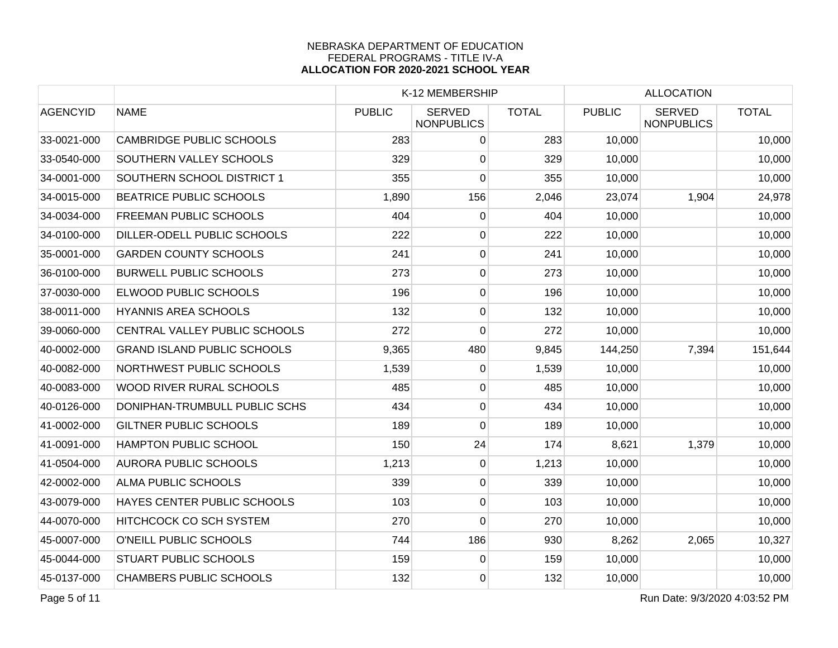|                                    |               |                                    |                                                                                                                                                                       |                 | <b>ALLOCATION</b>                  |              |  |
|------------------------------------|---------------|------------------------------------|-----------------------------------------------------------------------------------------------------------------------------------------------------------------------|-----------------|------------------------------------|--------------|--|
| <b>NAME</b>                        | <b>PUBLIC</b> | <b>SERVED</b><br><b>NONPUBLICS</b> | <b>TOTAL</b>                                                                                                                                                          | <b>PUBLIC</b>   | <b>SERVED</b><br><b>NONPUBLICS</b> | <b>TOTAL</b> |  |
| <b>CAMBRIDGE PUBLIC SCHOOLS</b>    |               | 0                                  | 283                                                                                                                                                                   | 10,000          |                                    | 10,000       |  |
| <b>SOUTHERN VALLEY SCHOOLS</b>     |               | 0                                  | 329                                                                                                                                                                   | 10,000          |                                    | 10,000       |  |
| SOUTHERN SCHOOL DISTRICT 1         |               | 0                                  | 355                                                                                                                                                                   | 10,000          |                                    | 10,000       |  |
| <b>BEATRICE PUBLIC SCHOOLS</b>     |               | 156                                | 2,046                                                                                                                                                                 | 23,074          | 1,904                              | 24,978       |  |
| <b>FREEMAN PUBLIC SCHOOLS</b>      |               | 0                                  | 404                                                                                                                                                                   | 10,000          |                                    | 10,000       |  |
| DILLER-ODELL PUBLIC SCHOOLS        |               | 0                                  | 222                                                                                                                                                                   | 10,000          |                                    | 10,000       |  |
| <b>GARDEN COUNTY SCHOOLS</b>       | 241           | $\overline{0}$                     | 241                                                                                                                                                                   | 10,000          |                                    | 10,000       |  |
| <b>BURWELL PUBLIC SCHOOLS</b>      |               | $\overline{0}$                     | 273                                                                                                                                                                   | 10,000          |                                    | 10,000       |  |
| <b>ELWOOD PUBLIC SCHOOLS</b>       |               | 0                                  | 196                                                                                                                                                                   | 10,000          |                                    | 10,000       |  |
| <b>HYANNIS AREA SCHOOLS</b>        |               | 0                                  | 132                                                                                                                                                                   | 10,000          |                                    | 10,000       |  |
| CENTRAL VALLEY PUBLIC SCHOOLS      |               | $\mathbf 0$                        | 272                                                                                                                                                                   | 10,000          |                                    | 10,000       |  |
| <b>GRAND ISLAND PUBLIC SCHOOLS</b> |               | 480                                | 9,845                                                                                                                                                                 | 144,250         | 7,394                              | 151,644      |  |
| NORTHWEST PUBLIC SCHOOLS           |               | 0                                  | 1,539                                                                                                                                                                 | 10,000          |                                    | 10,000       |  |
| <b>WOOD RIVER RURAL SCHOOLS</b>    |               | 0                                  | 485                                                                                                                                                                   | 10,000          |                                    | 10,000       |  |
| DONIPHAN-TRUMBULL PUBLIC SCHS      |               | 0                                  | 434                                                                                                                                                                   | 10,000          |                                    | 10,000       |  |
| <b>GILTNER PUBLIC SCHOOLS</b>      |               | 0                                  | 189                                                                                                                                                                   | 10,000          |                                    | 10,000       |  |
| HAMPTON PUBLIC SCHOOL              |               | 24                                 | 174                                                                                                                                                                   | 8,621           | 1,379                              | 10,000       |  |
| <b>AURORA PUBLIC SCHOOLS</b>       |               | 0                                  | 1,213                                                                                                                                                                 | 10,000          |                                    | 10,000       |  |
| <b>ALMA PUBLIC SCHOOLS</b>         |               | $\overline{0}$                     | 339                                                                                                                                                                   | 10,000          |                                    | 10,000       |  |
| HAYES CENTER PUBLIC SCHOOLS        |               | 0                                  | 103                                                                                                                                                                   | 10,000          |                                    | 10,000       |  |
| <b>HITCHCOCK CO SCH SYSTEM</b>     |               | 0                                  | 270                                                                                                                                                                   | 10,000          |                                    | 10,000       |  |
| O'NEILL PUBLIC SCHOOLS             |               | 186                                | 930                                                                                                                                                                   | 8,262           | 2,065                              | 10,327       |  |
| <b>STUART PUBLIC SCHOOLS</b>       |               | 0                                  | 159                                                                                                                                                                   | 10,000          |                                    | 10,000       |  |
| <b>CHAMBERS PUBLIC SCHOOLS</b>     |               | $\overline{0}$                     | 132                                                                                                                                                                   | 10,000          |                                    | 10,000       |  |
|                                    |               |                                    | 283<br>329<br>355<br>1,890<br>404<br>222<br>273<br>196<br>132<br>272<br>9,365<br>1,539<br>485<br>434<br>189<br>150<br>1,213<br>339<br>103<br>270<br>744<br>159<br>132 | K-12 MEMBERSHIP |                                    |              |  |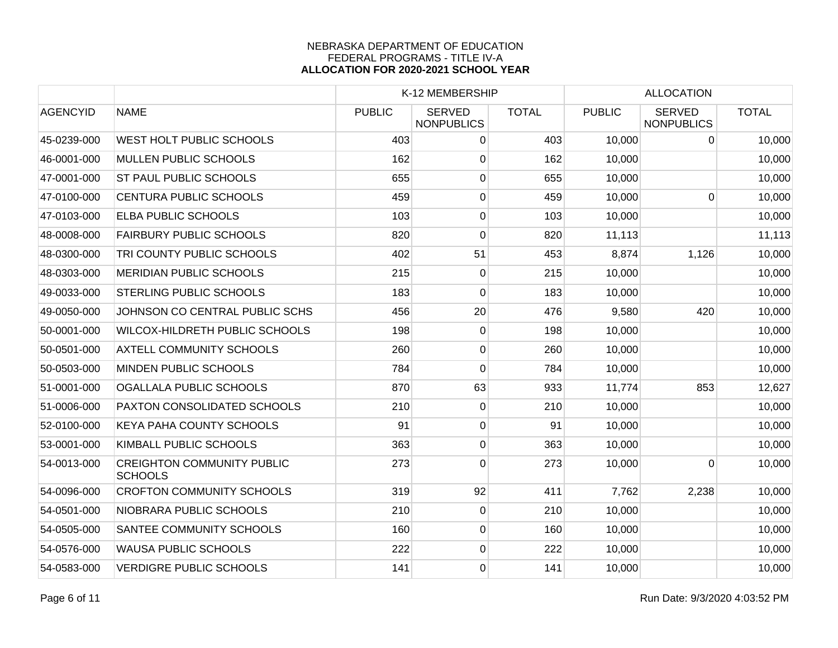|                 |                                                     |               | K-12 MEMBERSHIP                    |              |               |                                    |              |
|-----------------|-----------------------------------------------------|---------------|------------------------------------|--------------|---------------|------------------------------------|--------------|
| <b>AGENCYID</b> | <b>NAME</b>                                         | <b>PUBLIC</b> | <b>SERVED</b><br><b>NONPUBLICS</b> | <b>TOTAL</b> | <b>PUBLIC</b> | <b>SERVED</b><br><b>NONPUBLICS</b> | <b>TOTAL</b> |
| 45-0239-000     | <b>WEST HOLT PUBLIC SCHOOLS</b>                     | 403           | 0                                  | 403          | 10,000        | 0                                  | 10,000       |
| 46-0001-000     | <b>MULLEN PUBLIC SCHOOLS</b>                        | 162           | 0                                  | 162          | 10,000        |                                    | 10,000       |
| 47-0001-000     | <b>ST PAUL PUBLIC SCHOOLS</b>                       | 655           | 0                                  | 655          | 10,000        |                                    | 10,000       |
| 47-0100-000     | <b>CENTURA PUBLIC SCHOOLS</b>                       | 459           | $\overline{0}$                     | 459          | 10,000        | $\mathbf 0$                        | 10,000       |
| 47-0103-000     | <b>ELBA PUBLIC SCHOOLS</b>                          | 103           | $\mathbf 0$                        | 103          | 10,000        |                                    | 10,000       |
| 48-0008-000     | <b>FAIRBURY PUBLIC SCHOOLS</b>                      | 820           | 0                                  | 820          | 11,113        |                                    | 11,113       |
| 48-0300-000     | TRI COUNTY PUBLIC SCHOOLS                           | 402           | 51                                 | 453          | 8,874         | 1,126                              | 10,000       |
| 48-0303-000     | <b>MERIDIAN PUBLIC SCHOOLS</b>                      | 215           | 0                                  | 215          | 10,000        |                                    | 10,000       |
| 49-0033-000     | <b>STERLING PUBLIC SCHOOLS</b>                      | 183           | 0                                  | 183          | 10,000        |                                    | 10,000       |
| 49-0050-000     | JOHNSON CO CENTRAL PUBLIC SCHS                      | 456           | 20                                 | 476          | 9,580         | 420                                | 10,000       |
| 50-0001-000     | WILCOX-HILDRETH PUBLIC SCHOOLS                      | 198           | 0                                  | 198          | 10,000        |                                    | 10,000       |
| 50-0501-000     | <b>AXTELL COMMUNITY SCHOOLS</b>                     | 260           | 0                                  | 260          | 10,000        |                                    | 10,000       |
| 50-0503-000     | MINDEN PUBLIC SCHOOLS                               | 784           | 0                                  | 784          | 10,000        |                                    | 10,000       |
| 51-0001-000     | OGALLALA PUBLIC SCHOOLS                             | 870           | 63                                 | 933          | 11,774        | 853                                | 12,627       |
| 51-0006-000     | PAXTON CONSOLIDATED SCHOOLS                         | 210           | 0                                  | 210          | 10,000        |                                    | 10,000       |
| 52-0100-000     | <b>KEYA PAHA COUNTY SCHOOLS</b>                     | 91            | 0                                  | 91           | 10,000        |                                    | 10,000       |
| 53-0001-000     | KIMBALL PUBLIC SCHOOLS                              | 363           | 0                                  | 363          | 10,000        |                                    | 10,000       |
| 54-0013-000     | <b>CREIGHTON COMMUNITY PUBLIC</b><br><b>SCHOOLS</b> | 273           | $\overline{0}$                     | 273          | 10,000        | $\mathbf 0$                        | 10,000       |
| 54-0096-000     | <b>CROFTON COMMUNITY SCHOOLS</b>                    | 319           | 92                                 | 411          | 7,762         | 2,238                              | 10,000       |
| 54-0501-000     | NIOBRARA PUBLIC SCHOOLS                             | 210           | 0                                  | 210          | 10,000        |                                    | 10,000       |
| 54-0505-000     | <b>SANTEE COMMUNITY SCHOOLS</b>                     | 160           | 0                                  | 160          | 10,000        |                                    | 10,000       |
| 54-0576-000     | <b>WAUSA PUBLIC SCHOOLS</b>                         | 222           | $\mathbf 0$                        | 222          | 10,000        |                                    | 10,000       |
| 54-0583-000     | <b>VERDIGRE PUBLIC SCHOOLS</b>                      | 141           | 0                                  | 141          | 10,000        |                                    | 10,000       |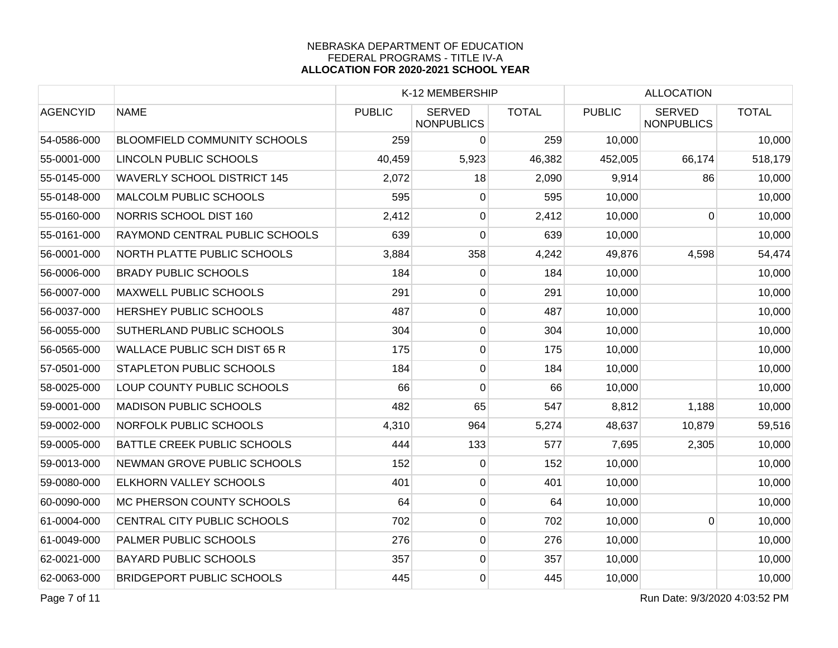|                 |                                     |               | K-12 MEMBERSHIP                    |              |               | <b>ALLOCATION</b>                  |              |  |
|-----------------|-------------------------------------|---------------|------------------------------------|--------------|---------------|------------------------------------|--------------|--|
| <b>AGENCYID</b> | <b>NAME</b>                         | <b>PUBLIC</b> | <b>SERVED</b><br><b>NONPUBLICS</b> | <b>TOTAL</b> | <b>PUBLIC</b> | <b>SERVED</b><br><b>NONPUBLICS</b> | <b>TOTAL</b> |  |
| 54-0586-000     | <b>BLOOMFIELD COMMUNITY SCHOOLS</b> | 259           | 0                                  | 259          | 10,000        |                                    | 10,000       |  |
| 55-0001-000     | LINCOLN PUBLIC SCHOOLS              | 40,459        | 5,923                              | 46,382       | 452,005       | 66,174                             | 518,179      |  |
| 55-0145-000     | <b>WAVERLY SCHOOL DISTRICT 145</b>  | 2,072         | 18                                 | 2,090        | 9,914         | 86                                 | 10,000       |  |
| 55-0148-000     | <b>MALCOLM PUBLIC SCHOOLS</b>       | 595           | 0                                  | 595          | 10,000        |                                    | 10,000       |  |
| 55-0160-000     | NORRIS SCHOOL DIST 160              | 2,412         | 0                                  | 2,412        | 10,000        | 0                                  | 10,000       |  |
| 55-0161-000     | RAYMOND CENTRAL PUBLIC SCHOOLS      | 639           | 0                                  | 639          | 10,000        |                                    | 10,000       |  |
| 56-0001-000     | NORTH PLATTE PUBLIC SCHOOLS         | 3,884         | 358                                | 4,242        | 49,876        | 4,598                              | 54,474       |  |
| 56-0006-000     | <b>BRADY PUBLIC SCHOOLS</b>         | 184           | 0                                  | 184          | 10,000        |                                    | 10,000       |  |
| 56-0007-000     | <b>MAXWELL PUBLIC SCHOOLS</b>       | 291           | 0                                  | 291          | 10,000        |                                    | 10,000       |  |
| 56-0037-000     | <b>HERSHEY PUBLIC SCHOOLS</b>       | 487           | $\mathbf 0$                        | 487          | 10,000        |                                    | 10,000       |  |
| 56-0055-000     | SUTHERLAND PUBLIC SCHOOLS           | 304           | 0                                  | 304          | 10,000        |                                    | 10,000       |  |
| 56-0565-000     | WALLACE PUBLIC SCH DIST 65 R        | 175           | 0                                  | 175          | 10,000        |                                    | 10,000       |  |
| 57-0501-000     | <b>STAPLETON PUBLIC SCHOOLS</b>     | 184           | $\overline{0}$                     | 184          | 10,000        |                                    | 10,000       |  |
| 58-0025-000     | LOUP COUNTY PUBLIC SCHOOLS          | 66            | 0                                  | 66           | 10,000        |                                    | 10,000       |  |
| 59-0001-000     | <b>MADISON PUBLIC SCHOOLS</b>       | 482           | 65                                 | 547          | 8,812         | 1,188                              | 10,000       |  |
| 59-0002-000     | NORFOLK PUBLIC SCHOOLS              | 4,310         | 964                                | 5,274        | 48,637        | 10,879                             | 59,516       |  |
| 59-0005-000     | <b>BATTLE CREEK PUBLIC SCHOOLS</b>  | 444           | 133                                | 577          | 7,695         | 2,305                              | 10,000       |  |
| 59-0013-000     | NEWMAN GROVE PUBLIC SCHOOLS         | 152           | 0                                  | 152          | 10,000        |                                    | 10,000       |  |
| 59-0080-000     | <b>ELKHORN VALLEY SCHOOLS</b>       | 401           | $\overline{0}$                     | 401          | 10,000        |                                    | 10,000       |  |
| 60-0090-000     | MC PHERSON COUNTY SCHOOLS           | 64            | 0                                  | 64           | 10,000        |                                    | 10,000       |  |
| 61-0004-000     | CENTRAL CITY PUBLIC SCHOOLS         | 702           | 0                                  | 702          | 10,000        | $\Omega$                           | 10,000       |  |
| 61-0049-000     | PALMER PUBLIC SCHOOLS               | 276           | 0                                  | 276          | 10,000        |                                    | 10,000       |  |
| 62-0021-000     | <b>BAYARD PUBLIC SCHOOLS</b>        | 357           | 0                                  | 357          | 10,000        |                                    | 10,000       |  |
| 62-0063-000     | <b>BRIDGEPORT PUBLIC SCHOOLS</b>    | 445           | $\overline{0}$                     | 445          | 10,000        |                                    | 10,000       |  |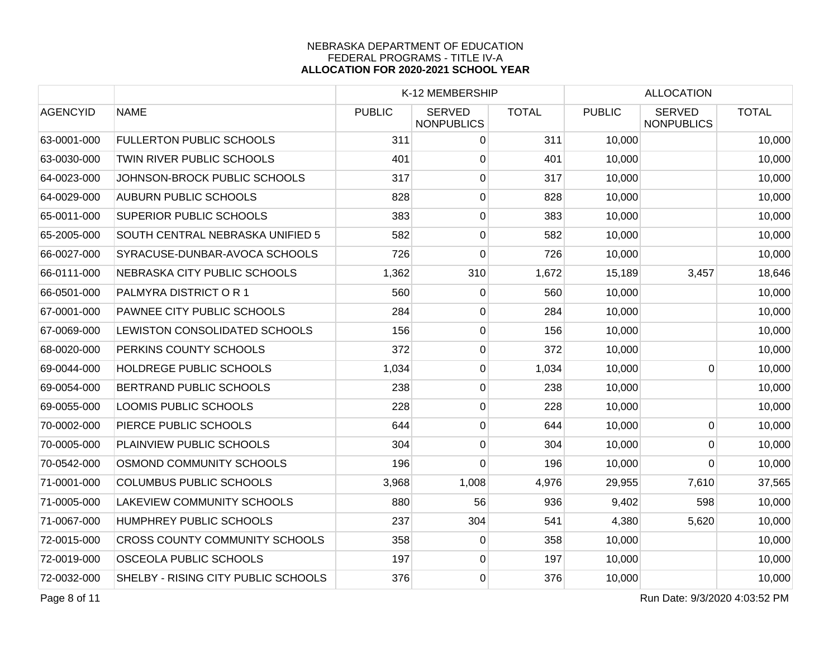|                 |                                       |               | K-12 MEMBERSHIP                    |              |               | <b>ALLOCATION</b>                  |              |  |
|-----------------|---------------------------------------|---------------|------------------------------------|--------------|---------------|------------------------------------|--------------|--|
| <b>AGENCYID</b> | <b>NAME</b>                           | <b>PUBLIC</b> | <b>SERVED</b><br><b>NONPUBLICS</b> | <b>TOTAL</b> | <b>PUBLIC</b> | <b>SERVED</b><br><b>NONPUBLICS</b> | <b>TOTAL</b> |  |
| 63-0001-000     | <b>FULLERTON PUBLIC SCHOOLS</b>       | 311           | $\overline{0}$                     | 311          | 10,000        |                                    | 10,000       |  |
| 63-0030-000     | TWIN RIVER PUBLIC SCHOOLS             | 401           | $\overline{0}$                     | 401          | 10,000        |                                    | 10,000       |  |
| 64-0023-000     | JOHNSON-BROCK PUBLIC SCHOOLS          | 317           | $\overline{0}$                     | 317          | 10,000        |                                    | 10,000       |  |
| 64-0029-000     | <b>AUBURN PUBLIC SCHOOLS</b>          | 828           | $\overline{0}$                     | 828          | 10,000        |                                    | 10,000       |  |
| 65-0011-000     | <b>SUPERIOR PUBLIC SCHOOLS</b>        | 383           | 0                                  | 383          | 10,000        |                                    | 10,000       |  |
| 65-2005-000     | SOUTH CENTRAL NEBRASKA UNIFIED 5      | 582           | $\overline{0}$                     | 582          | 10,000        |                                    | 10,000       |  |
| 66-0027-000     | SYRACUSE-DUNBAR-AVOCA SCHOOLS         | 726           | 0                                  | 726          | 10,000        |                                    | 10,000       |  |
| 66-0111-000     | NEBRASKA CITY PUBLIC SCHOOLS          | 1,362         | 310                                | 1,672        | 15,189        | 3,457                              | 18,646       |  |
| 66-0501-000     | PALMYRA DISTRICT OR 1                 | 560           | 0                                  | 560          | 10,000        |                                    | 10,000       |  |
| 67-0001-000     | PAWNEE CITY PUBLIC SCHOOLS            | 284           | 0                                  | 284          | 10,000        |                                    | 10,000       |  |
| 67-0069-000     | LEWISTON CONSOLIDATED SCHOOLS         | 156           | 0                                  | 156          | 10,000        |                                    | 10,000       |  |
| 68-0020-000     | PERKINS COUNTY SCHOOLS                | 372           | $\overline{0}$                     | 372          | 10,000        |                                    | 10,000       |  |
| 69-0044-000     | <b>HOLDREGE PUBLIC SCHOOLS</b>        | 1,034         | $\overline{0}$                     | 1,034        | 10,000        | $\mathbf 0$                        | 10,000       |  |
| 69-0054-000     | <b>BERTRAND PUBLIC SCHOOLS</b>        | 238           | $\overline{0}$                     | 238          | 10,000        |                                    | 10,000       |  |
| 69-0055-000     | LOOMIS PUBLIC SCHOOLS                 | 228           | $\overline{0}$                     | 228          | 10,000        |                                    | 10,000       |  |
| 70-0002-000     | PIERCE PUBLIC SCHOOLS                 | 644           | 0                                  | 644          | 10,000        | $\pmb{0}$                          | 10,000       |  |
| 70-0005-000     | PLAINVIEW PUBLIC SCHOOLS              | 304           | 0                                  | 304          | 10,000        | $\Omega$                           | 10,000       |  |
| 70-0542-000     | OSMOND COMMUNITY SCHOOLS              | 196           | $\overline{0}$                     | 196          | 10,000        | 0                                  | 10,000       |  |
| 71-0001-000     | <b>COLUMBUS PUBLIC SCHOOLS</b>        | 3,968         | 1,008                              | 4,976        | 29,955        | 7,610                              | 37,565       |  |
| 71-0005-000     | <b>LAKEVIEW COMMUNITY SCHOOLS</b>     | 880           | 56                                 | 936          | 9,402         | 598                                | 10,000       |  |
| 71-0067-000     | HUMPHREY PUBLIC SCHOOLS               | 237           | 304                                | 541          | 4,380         | 5,620                              | 10,000       |  |
| 72-0015-000     | <b>CROSS COUNTY COMMUNITY SCHOOLS</b> | 358           | 0                                  | 358          | 10,000        |                                    | 10,000       |  |
| 72-0019-000     | <b>OSCEOLA PUBLIC SCHOOLS</b>         | 197           | $\overline{0}$                     | 197          | 10,000        |                                    | 10,000       |  |
| 72-0032-000     | SHELBY - RISING CITY PUBLIC SCHOOLS   | 376           | $\overline{0}$                     | 376          | 10,000        |                                    | 10,000       |  |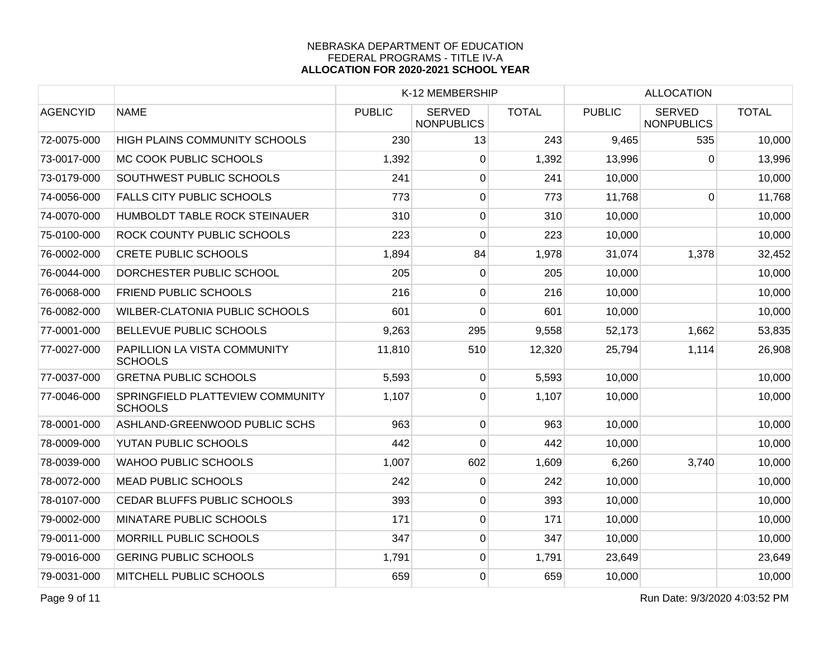|                                                    |               |                                    |              |                 | <b>ALLOCATION</b>                  |              |  |
|----------------------------------------------------|---------------|------------------------------------|--------------|-----------------|------------------------------------|--------------|--|
| <b>NAME</b>                                        | <b>PUBLIC</b> | <b>SERVED</b><br><b>NONPUBLICS</b> | <b>TOTAL</b> | <b>PUBLIC</b>   | <b>SERVED</b><br><b>NONPUBLICS</b> | <b>TOTAL</b> |  |
| HIGH PLAINS COMMUNITY SCHOOLS                      | 230           | 13                                 | 243          | 9,465           | 535                                | 10,000       |  |
| <b>MC COOK PUBLIC SCHOOLS</b>                      | 1,392         | 0                                  | 1,392        |                 | $\mathbf 0$                        | 13,996       |  |
| <b>SOUTHWEST PUBLIC SCHOOLS</b>                    | 241           | $\overline{0}$                     | 241          | 10,000          |                                    | 10,000       |  |
| <b>FALLS CITY PUBLIC SCHOOLS</b>                   | 773           | 0                                  | 773          | 11,768          | $\Omega$                           | 11,768       |  |
| HUMBOLDT TABLE ROCK STEINAUER                      |               | 0                                  | 310          | 10,000          |                                    | 10,000       |  |
| <b>ROCK COUNTY PUBLIC SCHOOLS</b>                  | 223           | 0                                  | 223          | 10,000          |                                    | 10,000       |  |
| <b>CRETE PUBLIC SCHOOLS</b>                        | 1,894         | 84                                 | 1,978        | 31,074          | 1,378                              | 32,452       |  |
| DORCHESTER PUBLIC SCHOOL                           | 205           | $\overline{0}$                     | 205          | 10,000          |                                    | 10,000       |  |
| <b>FRIEND PUBLIC SCHOOLS</b>                       | 216           | 0                                  | 216          | 10,000          |                                    | 10,000       |  |
| <b>WILBER-CLATONIA PUBLIC SCHOOLS</b>              | 601           | 0                                  | 601          | 10,000          |                                    | 10,000       |  |
| <b>BELLEVUE PUBLIC SCHOOLS</b>                     | 9,263         | 295                                | 9,558        | 52,173          | 1,662                              | 53,835       |  |
| PAPILLION LA VISTA COMMUNITY<br><b>SCHOOLS</b>     | 11,810        | 510                                | 12,320       | 25,794          | 1,114                              | 26,908       |  |
| <b>GRETNA PUBLIC SCHOOLS</b>                       | 5,593         | $\overline{0}$                     | 5,593        | 10,000          |                                    | 10,000       |  |
| SPRINGFIELD PLATTEVIEW COMMUNITY<br><b>SCHOOLS</b> | 1,107         | 0                                  | 1,107        | 10,000          |                                    | 10,000       |  |
| ASHLAND-GREENWOOD PUBLIC SCHS                      |               | $\overline{0}$                     | 963          | 10,000          |                                    | 10,000       |  |
| YUTAN PUBLIC SCHOOLS                               | 442           | $\Omega$                           | 442          | 10,000          |                                    | 10,000       |  |
| <b>WAHOO PUBLIC SCHOOLS</b>                        | 1,007         | 602                                | 1,609        | 6,260           | 3,740                              | 10,000       |  |
| <b>MEAD PUBLIC SCHOOLS</b>                         | 242           | 0                                  | 242          | 10,000          |                                    | 10,000       |  |
| CEDAR BLUFFS PUBLIC SCHOOLS                        | 393           | 0                                  | 393          | 10,000          |                                    | 10,000       |  |
| MINATARE PUBLIC SCHOOLS                            | 171           | 0                                  | 171          | 10,000          |                                    | 10,000       |  |
| <b>MORRILL PUBLIC SCHOOLS</b>                      | 347           | 0                                  | 347          | 10,000          |                                    | 10,000       |  |
| <b>GERING PUBLIC SCHOOLS</b>                       | 1,791         | $\overline{0}$                     | 1,791        | 23,649          |                                    | 23,649       |  |
| MITCHELL PUBLIC SCHOOLS                            | 659           | $\overline{0}$                     | 659          | 10,000          |                                    | 10,000       |  |
|                                                    |               |                                    | 310<br>963   | K-12 MEMBERSHIP |                                    | 13,996       |  |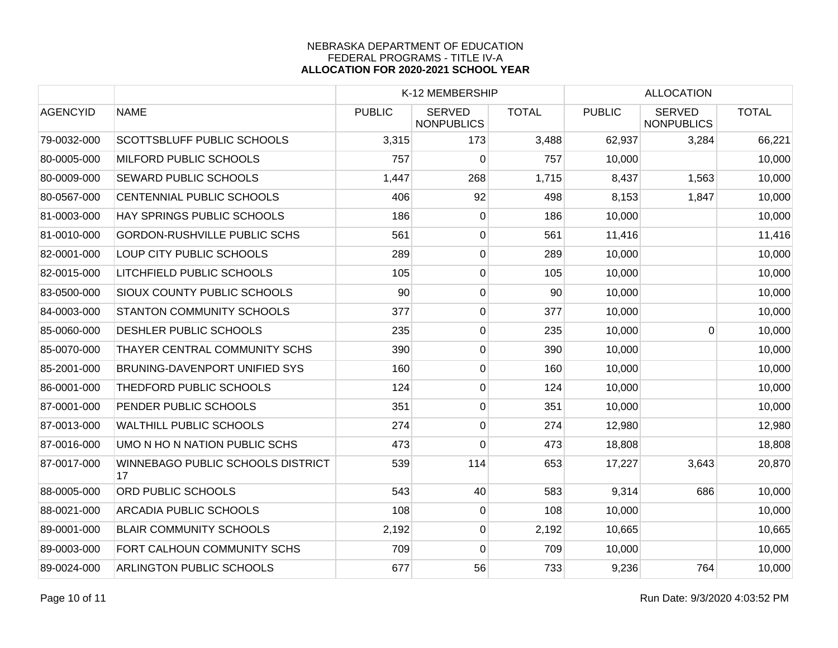|                 |                                         |               | K-12 MEMBERSHIP                    |              |               | <b>ALLOCATION</b>                  |              |  |
|-----------------|-----------------------------------------|---------------|------------------------------------|--------------|---------------|------------------------------------|--------------|--|
| <b>AGENCYID</b> | <b>NAME</b>                             | <b>PUBLIC</b> | <b>SERVED</b><br><b>NONPUBLICS</b> | <b>TOTAL</b> | <b>PUBLIC</b> | <b>SERVED</b><br><b>NONPUBLICS</b> | <b>TOTAL</b> |  |
| 79-0032-000     | SCOTTSBLUFF PUBLIC SCHOOLS              | 3,315         | 173                                | 3,488        | 62,937        | 3,284                              | 66,221       |  |
| 80-0005-000     | MILFORD PUBLIC SCHOOLS                  | 757           | 0                                  | 757          | 10,000        |                                    | 10,000       |  |
| 80-0009-000     | <b>SEWARD PUBLIC SCHOOLS</b>            | 1,447         | 268                                | 1,715        | 8,437         | 1,563                              | 10,000       |  |
| 80-0567-000     | CENTENNIAL PUBLIC SCHOOLS               | 406           | 92                                 | 498          | 8,153         | 1,847                              | 10,000       |  |
| 81-0003-000     | HAY SPRINGS PUBLIC SCHOOLS              | 186           | $\overline{0}$                     | 186          | 10,000        |                                    | 10,000       |  |
| 81-0010-000     | <b>GORDON-RUSHVILLE PUBLIC SCHS</b>     | 561           | 0                                  | 561          | 11,416        |                                    | 11,416       |  |
| 82-0001-000     | LOUP CITY PUBLIC SCHOOLS                | 289           | 0                                  | 289          | 10,000        |                                    | 10,000       |  |
| 82-0015-000     | LITCHFIELD PUBLIC SCHOOLS               | 105           | 0                                  | 105          | 10,000        |                                    | 10,000       |  |
| 83-0500-000     | SIOUX COUNTY PUBLIC SCHOOLS             | 90            | $\mathbf 0$                        | 90           | 10,000        |                                    | 10,000       |  |
| 84-0003-000     | <b>STANTON COMMUNITY SCHOOLS</b>        | 377           | 0                                  | 377          | 10,000        |                                    | 10,000       |  |
| 85-0060-000     | DESHLER PUBLIC SCHOOLS                  | 235           | 0                                  | 235          | 10,000        | 0                                  | 10,000       |  |
| 85-0070-000     | THAYER CENTRAL COMMUNITY SCHS           | 390           | $\overline{0}$                     | 390          | 10,000        |                                    | 10,000       |  |
| 85-2001-000     | <b>BRUNING-DAVENPORT UNIFIED SYS</b>    | 160           | $\overline{0}$                     | 160          | 10,000        |                                    | 10,000       |  |
| 86-0001-000     | THEDFORD PUBLIC SCHOOLS                 | 124           | $\overline{0}$                     | 124          | 10,000        |                                    | 10,000       |  |
| 87-0001-000     | PENDER PUBLIC SCHOOLS                   | 351           | 0                                  | 351          | 10,000        |                                    | 10,000       |  |
| 87-0013-000     | <b>WALTHILL PUBLIC SCHOOLS</b>          | 274           | 0                                  | 274          | 12,980        |                                    | 12,980       |  |
| 87-0016-000     | UMO N HO N NATION PUBLIC SCHS           | 473           | 0                                  | 473          | 18,808        |                                    | 18,808       |  |
| 87-0017-000     | WINNEBAGO PUBLIC SCHOOLS DISTRICT<br>17 | 539           | 114                                | 653          | 17,227        | 3,643                              | 20,870       |  |
| 88-0005-000     | ORD PUBLIC SCHOOLS                      | 543           | 40                                 | 583          | 9,314         | 686                                | 10,000       |  |
| 88-0021-000     | <b>ARCADIA PUBLIC SCHOOLS</b>           | 108           | 0                                  | 108          | 10,000        |                                    | 10,000       |  |
| 89-0001-000     | <b>BLAIR COMMUNITY SCHOOLS</b>          | 2,192         | 0                                  | 2,192        | 10,665        |                                    | 10,665       |  |
| 89-0003-000     | FORT CALHOUN COMMUNITY SCHS             | 709           | 0                                  | 709          | 10,000        |                                    | 10,000       |  |
| 89-0024-000     | ARLINGTON PUBLIC SCHOOLS                | 677           | 56                                 | 733          | 9,236         | 764                                | 10,000       |  |